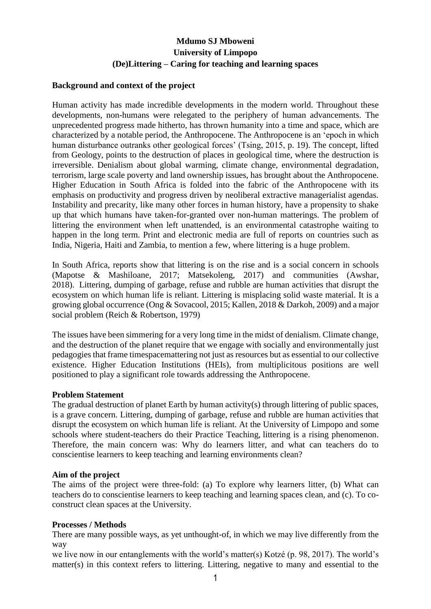# **Mdumo SJ Mboweni University of Limpopo (De)Littering – Caring for teaching and learning spaces**

## **Background and context of the project**

Human activity has made incredible developments in the modern world. Throughout these developments, non-humans were relegated to the periphery of human advancements. The unprecedented progress made hitherto, has thrown humanity into a time and space, which are characterized by a notable period, the Anthropocene. The Anthropocene is an 'epoch in which human disturbance outranks other geological forces' (Tsing, 2015, p. 19). The concept, lifted from Geology, points to the destruction of places in geological time, where the destruction is irreversible. Denialism about global warming, climate change, environmental degradation, terrorism, large scale poverty and land ownership issues, has brought about the Anthropocene. Higher Education in South Africa is folded into the fabric of the Anthropocene with its emphasis on productivity and progress driven by neoliberal extractive managerialist agendas. Instability and precarity, like many other forces in human history, have a propensity to shake up that which humans have taken-for-granted over non-human matterings. The problem of littering the environment when left unattended, is an environmental catastrophe waiting to happen in the long term. Print and electronic media are full of reports on countries such as India, Nigeria, Haiti and Zambia, to mention a few, where littering is a huge problem.

In South Africa, reports show that littering is on the rise and is a social concern in schools (Mapotse & Mashiloane, 2017; Matsekoleng, 2017) and communities (Awshar, 2018). Littering, dumping of garbage, refuse and rubble are human activities that disrupt the ecosystem on which human life is reliant. Littering is misplacing solid waste material. It is a growing global occurrence (Ong & Sovacool, 2015; Kallen, 2018 & Darkoh, 2009) and a major social problem (Reich & Robertson, 1979)

The issues have been simmering for a very long time in the midst of denialism. Climate change, and the destruction of the planet require that we engage with socially and environmentally just pedagogies that frame timespacemattering not just as resources but as essential to our collective existence. Higher Education Institutions (HEIs), from multiplicitous positions are well positioned to play a significant role towards addressing the Anthropocene.

## **Problem Statement**

The gradual destruction of planet Earth by human activity(s) through littering of public spaces, is a grave concern. Littering, dumping of garbage, refuse and rubble are human activities that disrupt the ecosystem on which human life is reliant. At the University of Limpopo and some schools where student-teachers do their Practice Teaching, littering is a rising phenomenon. Therefore, the main concern was: Why do learners litter, and what can teachers do to conscientise learners to keep teaching and learning environments clean?

## **Aim of the project**

The aims of the project were three-fold: (a) To explore why learners litter, (b) What can teachers do to conscientise learners to keep teaching and learning spaces clean, and (c). To coconstruct clean spaces at the University.

## **Processes / Methods**

There are many possible ways, as yet unthought-of, in which we may live differently from the way

we live now in our entanglements with the world's matter(s) Kotzé (p. 98, 2017). The world's matter(s) in this context refers to littering. Littering, negative to many and essential to the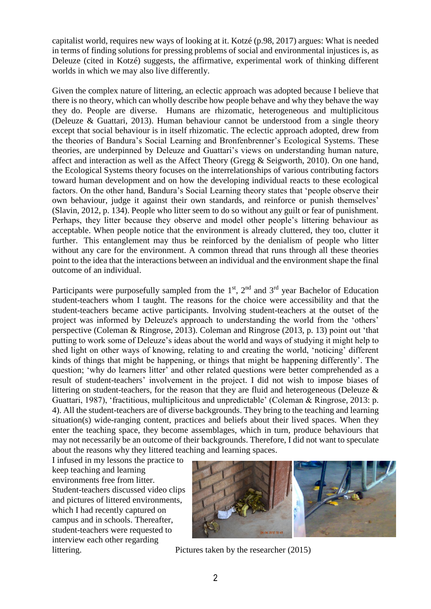capitalist world, requires new ways of looking at it. Kotzé (p.98, 2017) argues: What is needed in terms of finding solutions for pressing problems of social and environmental injustices is, as Deleuze (cited in Kotzé) suggests, the affirmative, experimental work of thinking different worlds in which we may also live differently.

Given the complex nature of littering, an eclectic approach was adopted because I believe that there is no theory, which can wholly describe how people behave and why they behave the way they do. People are diverse. Humans are rhizomatic, heterogeneous and multiplicitous (Deleuze & Guattari, 2013). Human behaviour cannot be understood from a single theory except that social behaviour is in itself rhizomatic. The eclectic approach adopted, drew from the theories of Bandura's Social Learning and Bronfenbrenner's Ecological Systems. These theories, are underpinned by Deleuze and Guattari's views on understanding human nature, affect and interaction as well as the Affect Theory (Gregg & Seigworth, 2010). On one hand, the Ecological Systems theory focuses on the interrelationships of various contributing factors toward human development and on how the developing individual reacts to these ecological factors. On the other hand, Bandura's Social Learning theory states that 'people observe their own behaviour, judge it against their own standards, and reinforce or punish themselves' (Slavin, 2012, p. 134). People who litter seem to do so without any guilt or fear of punishment. Perhaps, they litter because they observe and model other people's littering behaviour as acceptable. When people notice that the environment is already cluttered, they too, clutter it further. This entanglement may thus be reinforced by the denialism of people who litter without any care for the environment. A common thread that runs through all these theories point to the idea that the interactions between an individual and the environment shape the final outcome of an individual.

Participants were purposefully sampled from the  $1<sup>st</sup>$ ,  $2<sup>nd</sup>$  and  $3<sup>rd</sup>$  year Bachelor of Education student-teachers whom I taught. The reasons for the choice were accessibility and that the student-teachers became active participants. Involving student-teachers at the outset of the project was informed by Deleuze's approach to understanding the world from the 'others' perspective (Coleman & Ringrose, 2013). Coleman and Ringrose (2013, p. 13) point out 'that putting to work some of Deleuze's ideas about the world and ways of studying it might help to shed light on other ways of knowing, relating to and creating the world, 'noticing' different kinds of things that might be happening, or things that might be happening differently'. The question; 'why do learners litter' and other related questions were better comprehended as a result of student-teachers' involvement in the project. I did not wish to impose biases of littering on student-teachers, for the reason that they are fluid and heterogeneous (Deleuze & Guattari, 1987), 'fractitious, multiplicitous and unpredictable' (Coleman & Ringrose, 2013: p. 4). All the student-teachers are of diverse backgrounds. They bring to the teaching and learning situation(s) wide-ranging content, practices and beliefs about their lived spaces. When they enter the teaching space, they become assemblages, which in turn, produce behaviours that may not necessarily be an outcome of their backgrounds. Therefore, I did not want to speculate about the reasons why they littered teaching and learning spaces.

I infused in my lessons the practice to keep teaching and learning environments free from litter. Student-teachers discussed video clips and pictures of littered environments, which I had recently captured on campus and in schools. Thereafter, student-teachers were requested to interview each other regarding



littering. Pictures taken by the researcher (2015)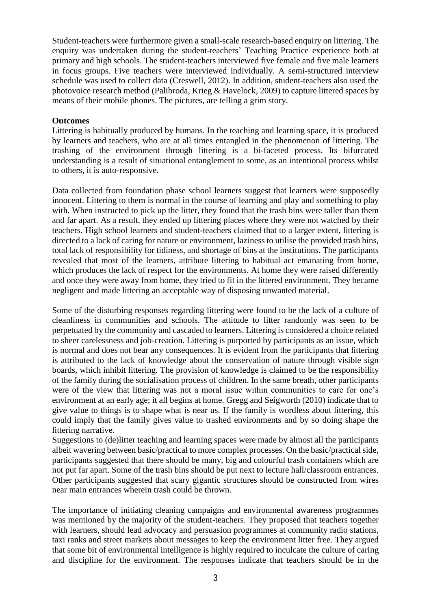Student-teachers were furthermore given a small-scale research-based enquiry on littering. The enquiry was undertaken during the student-teachers' Teaching Practice experience both at primary and high schools. The student-teachers interviewed five female and five male learners in focus groups. Five teachers were interviewed individually. A semi-structured interview schedule was used to collect data (Creswell, 2012). In addition, student-teachers also used the photovoice research method (Palibroda, Krieg & Havelock, 2009) to capture littered spaces by means of their mobile phones. The pictures, are telling a grim story.

## **Outcomes**

Littering is habitually produced by humans. In the teaching and learning space, it is produced by learners and teachers, who are at all times entangled in the phenomenon of littering. The trashing of the environment through littering is a bi-faceted process. Its bifurcated understanding is a result of situational entanglement to some, as an intentional process whilst to others, it is auto-responsive.

Data collected from foundation phase school learners suggest that learners were supposedly innocent. Littering to them is normal in the course of learning and play and something to play with. When instructed to pick up the litter, they found that the trash bins were taller than them and far apart. As a result, they ended up littering places where they were not watched by their teachers. High school learners and student-teachers claimed that to a larger extent, littering is directed to a lack of caring for nature or environment, laziness to utilise the provided trash bins, total lack of responsibility for tidiness, and shortage of bins at the institutions. The participants revealed that most of the learners, attribute littering to habitual act emanating from home, which produces the lack of respect for the environments. At home they were raised differently and once they were away from home, they tried to fit in the littered environment. They became negligent and made littering an acceptable way of disposing unwanted material.

Some of the disturbing responses regarding littering were found to be the lack of a culture of cleanliness in communities and schools. The attitude to litter randomly was seen to be perpetuated by the community and cascaded to learners. Littering is considered a choice related to sheer carelessness and job-creation. Littering is purported by participants as an issue, which is normal and does not bear any consequences. It is evident from the participants that littering is attributed to the lack of knowledge about the conservation of nature through visible sign boards, which inhibit littering. The provision of knowledge is claimed to be the responsibility of the family during the socialisation process of children. In the same breath, other participants were of the view that littering was not a moral issue within communities to care for one's environment at an early age; it all begins at home. Gregg and Seigworth (2010) indicate that to give value to things is to shape what is near us. If the family is wordless about littering, this could imply that the family gives value to trashed environments and by so doing shape the littering narrative.

Suggestions to (de)litter teaching and learning spaces were made by almost all the participants albeit wavering between basic/practical to more complex processes. On the basic/practical side, participants suggested that there should be many, big and colourful trash containers which are not put far apart. Some of the trash bins should be put next to lecture hall/classroom entrances. Other participants suggested that scary gigantic structures should be constructed from wires near main entrances wherein trash could be thrown.

The importance of initiating cleaning campaigns and environmental awareness programmes was mentioned by the majority of the student-teachers. They proposed that teachers together with learners, should lead advocacy and persuasion programmes at community radio stations, taxi ranks and street markets about messages to keep the environment litter free. They argued that some bit of environmental intelligence is highly required to inculcate the culture of caring and discipline for the environment. The responses indicate that teachers should be in the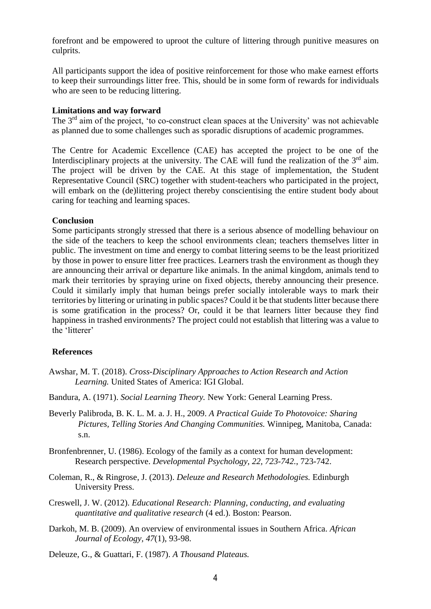forefront and be empowered to uproot the culture of littering through punitive measures on culprits.

All participants support the idea of positive reinforcement for those who make earnest efforts to keep their surroundings litter free. This, should be in some form of rewards for individuals who are seen to be reducing littering.

#### **Limitations and way forward**

The 3<sup>rd</sup> aim of the project, 'to co-construct clean spaces at the University' was not achievable as planned due to some challenges such as sporadic disruptions of academic programmes.

The Centre for Academic Excellence (CAE) has accepted the project to be one of the Interdisciplinary projects at the university. The CAE will fund the realization of the  $3<sup>rd</sup>$  aim. The project will be driven by the CAE. At this stage of implementation, the Student Representative Council (SRC) together with student-teachers who participated in the project, will embark on the (de)littering project thereby conscientising the entire student body about caring for teaching and learning spaces.

#### **Conclusion**

Some participants strongly stressed that there is a serious absence of modelling behaviour on the side of the teachers to keep the school environments clean; teachers themselves litter in public. The investment on time and energy to combat littering seems to be the least prioritized by those in power to ensure litter free practices. Learners trash the environment as though they are announcing their arrival or departure like animals. In the animal kingdom, animals tend to mark their territories by spraying urine on fixed objects, thereby announcing their presence. Could it similarly imply that human beings prefer socially intolerable ways to mark their territories by littering or urinating in public spaces? Could it be that students litter because there is some gratification in the process? Or, could it be that learners litter because they find happiness in trashed environments? The project could not establish that littering was a value to the 'litterer'

#### **References**

- Awshar, M. T. (2018). *Cross-Disciplinary Approaches to Action Research and Action Learning.* United States of America: IGI Global.
- Bandura, A. (1971). *Social Learning Theory.* New York: General Learning Press.
- Beverly Palibroda, B. K. L. M. a. J. H., 2009. *A Practical Guide To Photovoice: Sharing Pictures, Telling Stories And Changing Communities.* Winnipeg, Manitoba, Canada: s.n.
- Bronfenbrenner, U. (1986). Ecology of the family as a context for human development: Research perspective. *Developmental Psychology, 22, 723-742.*, 723-742.
- Coleman, R., & Ringrose, J. (2013). *Deleuze and Research Methodologies.* Edinburgh University Press.
- Creswell, J. W. (2012). *Educational Research: Planning, conducting, and evaluating quantitative and qualitative research* (4 ed.). Boston: Pearson.
- Darkoh, M. B. (2009). An overview of environmental issues in Southern Africa. *African Journal of Ecology, 47*(1), 93-98.

Deleuze, G., & Guattari, F. (1987). *A Thousand Plateaus.*